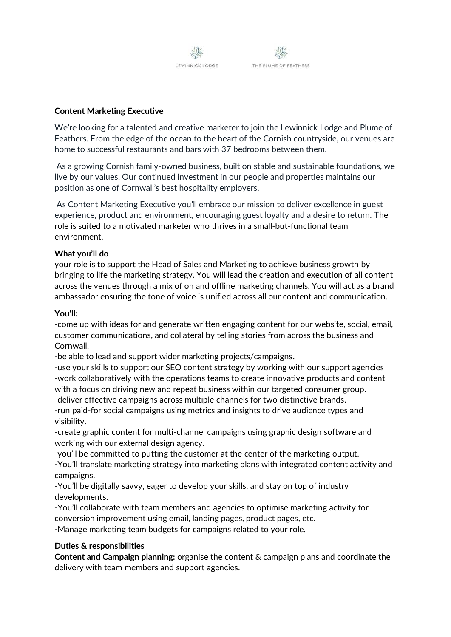

#### **Content Marketing Executive**

We're looking for a talented and creative marketer to join the Lewinnick Lodge and Plume of Feathers. From the edge of the ocean to the heart of the Cornish countryside, our venues are home to successful restaurants and bars with 37 bedrooms between them.

As a growing Cornish family-owned business, built on stable and sustainable foundations, we live by our values. Our continued investment in our people and properties maintains our position as one of Cornwall's best hospitality employers.

As Content Marketing Executive you'll embrace our mission to deliver excellence in guest experience, product and environment, encouraging guest loyalty and a desire to return. The role is suited to a motivated marketer who thrives in a small-but-functional team environment.

#### **What you'll do**

your role is to support the Head of Sales and Marketing to achieve business growth by bringing to life the marketing strategy. You will lead the creation and execution of all content across the venues through a mix of on and offline marketing channels. You will act as a brand ambassador ensuring the tone of voice is unified across all our content and communication.

#### **You'll:**

-come up with ideas for and generate written engaging content for our website, social, email, customer communications, and collateral by telling stories from across the business and Cornwall.

-be able to lead and support wider marketing projects/campaigns.

-use your skills to support our SEO content strategy by working with our support agencies -work collaboratively with the operations teams to create innovative products and content with a focus on driving new and repeat business within our targeted consumer group. -deliver effective campaigns across multiple channels for two distinctive brands.

-run paid-for social campaigns using metrics and insights to drive audience types and visibility.

-create graphic content for multi-channel campaigns using graphic design software and working with our external design agency.

-you'll be committed to putting the customer at the center of the marketing output. -You'll translate marketing strategy into marketing plans with integrated content activity and campaigns.

-You'll be digitally savvy, eager to develop your skills, and stay on top of industry developments.

-You'll collaborate with team members and agencies to optimise marketing activity for conversion improvement using email, landing pages, product pages, etc.

-Manage marketing team budgets for campaigns related to your role.

# **Duties & responsibilities**

**Content and Campaign planning:** organise the content & campaign plans and coordinate the delivery with team members and support agencies.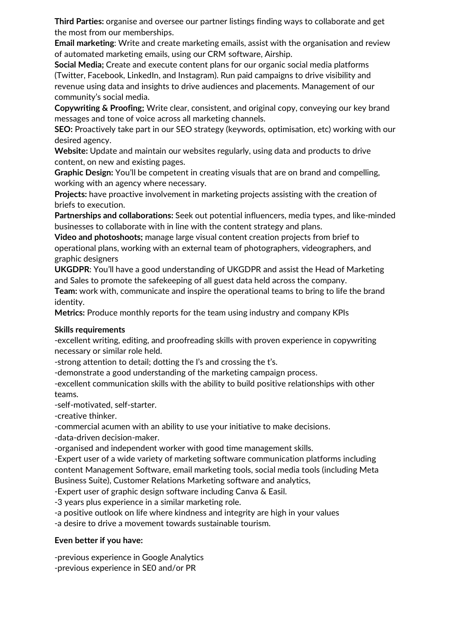**Third Parties:** organise and oversee our partner listings finding ways to collaborate and get the most from our memberships.

**Email marketing**: Write and create marketing emails, assist with the organisation and review of automated marketing emails, using our CRM software, Airship.

**Social Media;** Create and execute content plans for our organic social media platforms (Twitter, Facebook, LinkedIn, and Instagram). Run paid campaigns to drive visibility and revenue using data and insights to drive audiences and placements. Management of our community's social media.

**Copywriting & Proofing;** Write clear, consistent, and original copy, conveying our key brand messages and tone of voice across all marketing channels.

**SEO:** Proactively take part in our SEO strategy (keywords, optimisation, etc) working with our desired agency.

**Website:** Update and maintain our websites regularly, using data and products to drive content, on new and existing pages.

**Graphic Design:** You'll be competent in creating visuals that are on brand and compelling, working with an agency where necessary.

**Projects:** have proactive involvement in marketing projects assisting with the creation of briefs to execution.

**Partnerships and collaborations:** Seek out potential influencers, media types, and like-minded businesses to collaborate with in line with the content strategy and plans.

**Video and photoshoots;** manage large visual content creation projects from brief to operational plans, working with an external team of photographers, videographers, and graphic designers

**UKGDPR**: You'll have a good understanding of UKGDPR and assist the Head of Marketing and Sales to promote the safekeeping of all guest data held across the company.

**Team:** work with, communicate and inspire the operational teams to bring to life the brand identity.

**Metrics:** Produce monthly reports for the team using industry and company KPIs

# **Skills requirements**

-excellent writing, editing, and proofreading skills with proven experience in copywriting necessary or similar role held.

-strong attention to detail; dotting the I's and crossing the t's.

-demonstrate a good understanding of the marketing campaign process.

-excellent communication skills with the ability to build positive relationships with other teams.

-self-motivated, self-starter.

-creative thinker.

-commercial acumen with an ability to use your initiative to make decisions.

-data-driven decision-maker.

-organised and independent worker with good time management skills.

-Expert user of a wide variety of marketing software communication platforms including content Management Software, email marketing tools, social media tools (including Meta Business Suite), Customer Relations Marketing software and analytics,

-Expert user of graphic design software including Canva & Easil.

-3 years plus experience in a similar marketing role.

-a positive outlook on life where kindness and integrity are high in your values

-a desire to drive a movement towards sustainable tourism.

# **Even better if you have:**

-previous experience in Google Analytics -previous experience in SE0 and/or PR